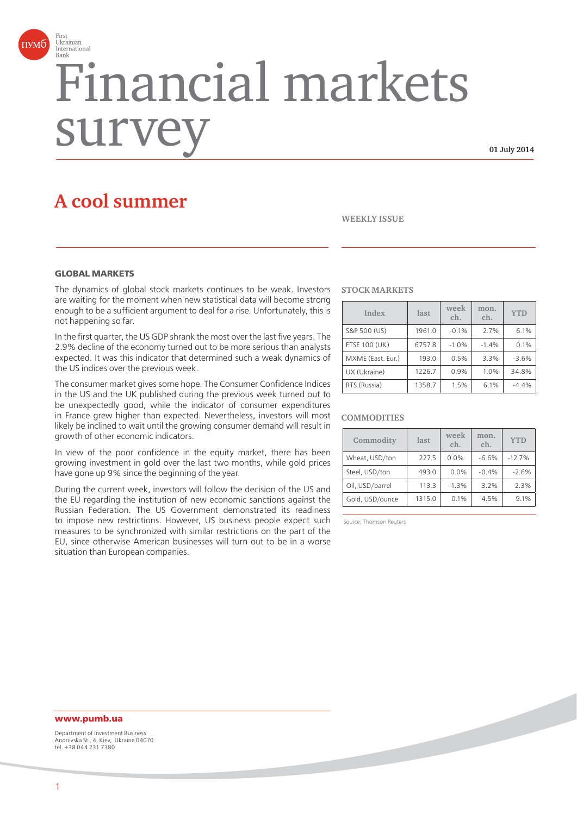

# Financial markets surve

**01 July 2014**

# **A cool summer**

# **WEEKLY ISSUE**

# **GLOBAL MARKETS**

The dynamics of global stock markets continues to be weak. Investors are waiting for the moment when new statistical data will become strong enough to be a sufficient argument to deal for a rise. Unfortunately, this is not happening so far.

In the first quarter, the US GDP shrank the most over the last five years. The 2.9% decline of the economy turned out to be more serious than analysts expected. It was this indicator that determined such a weak dynamics of the US indices over the previous week.

The consumer market gives some hope. The Consumer Confidence Indices in the US and the UK published during the previous week turned out to be unexpectedly good, while the indicator of consumer expenditures in France grew higher than expected. Nevertheless, investors will most likely be inclined to wait until the growing consumer demand will result in growth of other economic indicators.

In view of the poor confidence in the equity market, there has been growing investment in gold over the last two months, while gold prices have gone up 9% since the beginning of the year.

During the current week, investors will follow the decision of the US and the EU regarding the institution of new economic sanctions against the Russian Federation. The US Government demonstrated its readiness to impose new restrictions. However, US business people expect such measures to be synchronized with similar restrictions on the part of the EU, since otherwise American businesses will turn out to be in a worse situation than European companies.

# **STOCK MARKETS**

| Index                | last   | week<br>ch. | mon.<br>ch. | <b>YTD</b> |
|----------------------|--------|-------------|-------------|------------|
| S&P 500 (US)         | 1961.0 | $-0.1%$     | 2.7%        | 6.1%       |
| <b>FTSE 100 (UK)</b> | 6757.8 | $-1.0%$     | $-1.4%$     | 0.1%       |
| MXME (East. Eur.)    | 193.0  | 0.5%        | 3.3%        | $-3.6%$    |
| UX (Ukraine)         | 1226.7 | 0.9%        | 1.0%        | 34.8%      |
| RTS (Russia)         | 1358.7 | 1.5%        | 6.1%        | $-4.4%$    |

# **COMMODITIES**

| Commodity       | last   | week<br>ch. | mon.<br>ch. | <b>YTD</b> |
|-----------------|--------|-------------|-------------|------------|
| Wheat, USD/ton  | 227.5  | 0.0%        | $-6.6%$     | $-12.7%$   |
| Steel, USD/ton  | 493.0  | 0.0%        | $-0.4%$     | $-2.6%$    |
| Oil, USD/barrel | 113.3  | $-1.3%$     | 3.2%        | 2.3%       |
| Gold, USD/ounce | 1315.0 | 0.1%        | 4.5%        | 9.1%       |

Source: Thomson Reuters

# **www.pumb.ua**

Department of Investment Business Andriivska St., 4, Kiev, Ukraine 04070 tel. +38 044 231 7380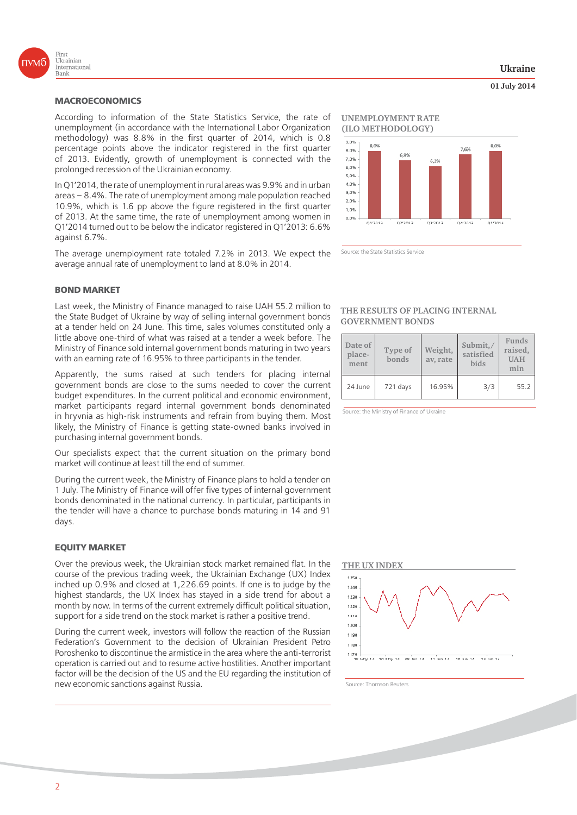

# **MACROECONOMICS**

According to information of the State Statistics Service, the rate of unemployment (in accordance with the International Labor Organization methodology) was 8.8% in the first quarter of 2014, which is 0.8 percentage points above the indicator registered in the first quarter of 2013. Evidently, growth of unemployment is connected with the prolonged recession of the Ukrainian economy.

In Q1'2014, the rate of unemployment in rural areas was 9.9% and in urban areas – 8.4%. The rate of unemployment among male population reached 10.9%, which is 1.6 pp above the figure registered in the first quarter of 2013. At the same time, the rate of unemployment among women in Q1'2014 turned out to be below the indicator registered in Q1'2013: 6.6% against 6.7%.

The average unemployment rate totaled 7.2% in 2013. We expect the average annual rate of unemployment to land at 8.0% in 2014.

# **BOND MARKET**

Last week, the Ministry of Finance managed to raise UAH 55.2 million to the State Budget of Ukraine by way of selling internal government bonds at a tender held on 24 June. This time, sales volumes constituted only a little above one-third of what was raised at a tender a week before. The Ministry of Finance sold internal government bonds maturing in two years with an earning rate of 16.95% to three participants in the tender.

Apparently, the sums raised at such tenders for placing internal government bonds are close to the sums needed to cover the current budget expenditures. In the current political and economic environment, market participants regard internal government bonds denominated in hryvnia as high-risk instruments and refrain from buying them. Most likely, the Ministry of Finance is getting state-owned banks involved in purchasing internal government bonds.

Our specialists expect that the current situation on the primary bond market will continue at least till the end of summer.

During the current week, the Ministry of Finance plans to hold a tender on 1 July. The Ministry of Finance will offer five types of internal government bonds denominated in the national currency. In particular, participants in the tender will have a chance to purchase bonds maturing in 14 and 91 days.

## **EQUITY MARKET**

Over the previous week, the Ukrainian stock market remained flat. In the course of the previous trading week, the Ukrainian Exchange (UX) Index inched up 0.9% and closed at 1,226.69 points. If one is to judge by the highest standards, the UX Index has stayed in a side trend for about a month by now. In terms of the current extremely difficult political situation, support for a side trend on the stock market is rather a positive trend.

During the current week, investors will follow the reaction of the Russian Federation's Government to the decision of Ukrainian President Petro Poroshenko to discontinue the armistice in the area where the anti-terrorist operation is carried out and to resume active hostilities. Another important factor will be the decision of the US and the EU regarding the institution of new economic sanctions against Russia.

# **UNEMPLOYMENT RATE**



Source: the State Statistics Service

# **THE RESULTS OF PLACING INTERNAL GOVERNMENT BONDS**

| Date of<br>place-<br>ment | Type of<br>bonds | Weight,<br>av, rate | Submit,<br>satisfied<br><b>bids</b> | Funds<br>raised,<br><b>UAH</b><br>mln |
|---------------------------|------------------|---------------------|-------------------------------------|---------------------------------------|
| 24 June                   | 721 days         | 16.95%              | 3/3                                 | 55.2                                  |

Source: the Ministry of Finance of Ukraine



Source: Thomson Reuters

# **Ukraine**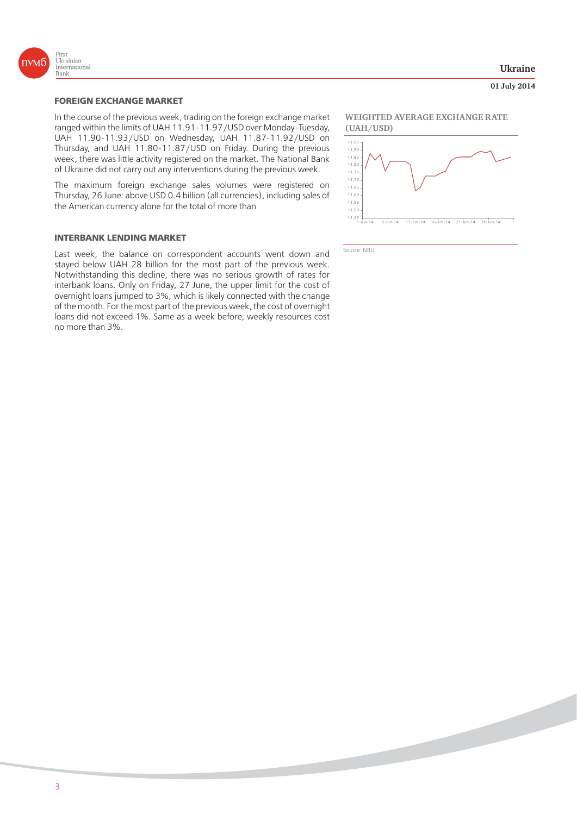

# **FOREIGN EXCHANGE MARKET**

In the course of the previous week, trading on the foreign exchange market ranged within the limits of UAH 11.91-11.97/USD over Monday-Tuesday, UAH 11.90-11.93/USD on Wednesday, UAH 11.87-11.92/USD on Thursday, and UAH 11.80-11.87/USD on Friday. During the previous week, there was little activity registered on the market. The National Bank of Ukraine did not carry out any interventions during the previous week.

The maximum foreign exchange sales volumes were registered on Thursday, 26 June: above USD 0.4 billion (all currencies), including sales of the American currency alone for the total of more than

# **INTERBANK LENDING MARKET**

Last week, the balance on correspondent accounts went down and stayed below UAH 28 billion for the most part of the previous week. Notwithstanding this decline, there was no serious growth of rates for interbank loans. Only on Friday, 27 June, the upper limit for the cost of overnight loans jumped to 3%, which is likely connected with the change of the month. For the most part of the previous week, the cost of overnight loans did not exceed 1%. Same as a week before, weekly resources cost no more than 3%.

# **Ukraine**

## **01 July 2014**

**WEIGHTED AVERAGE EXCHANGE RATE (UAH/USD)**



Source: NBU